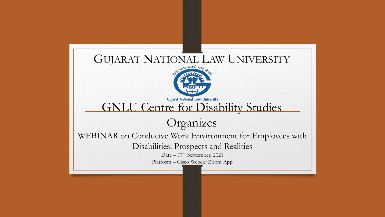